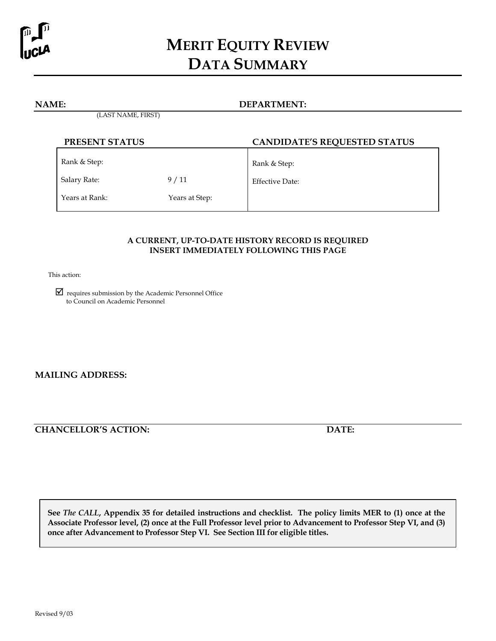

# **MERIT EQUITY REVIEW DATA SUMMARY**

#### **NAME: DEPARTMENT:**

(LAST NAME, FIRST)

| PRESENT STATUS |                | <b>CANDIDATE'S REQUESTED STATUS</b> |  |
|----------------|----------------|-------------------------------------|--|
| Rank & Step:   |                | Rank & Step:                        |  |
| Salary Rate:   | 9/11           | Effective Date:                     |  |
| Years at Rank: | Years at Step: |                                     |  |

# **A CURRENT, UP-TO-DATE HISTORY RECORD IS REQUIRED INSERT IMMEDIATELY FOLLOWING THIS PAGE**

This action:

 requires submission by the Academic Personnel Office to Council on Academic Personnel

**MAILING ADDRESS:** 

**CHANCELLOR'S ACTION: DATE:** 

**See** *The CALL***, Appendix 35 for detailed instructions and checklist. The policy limits MER to (1) once at the Associate Professor level, (2) once at the Full Professor level prior to Advancement to Professor Step VI, and (3) once after Advancement to Professor Step VI. See Section III for eligible titles.**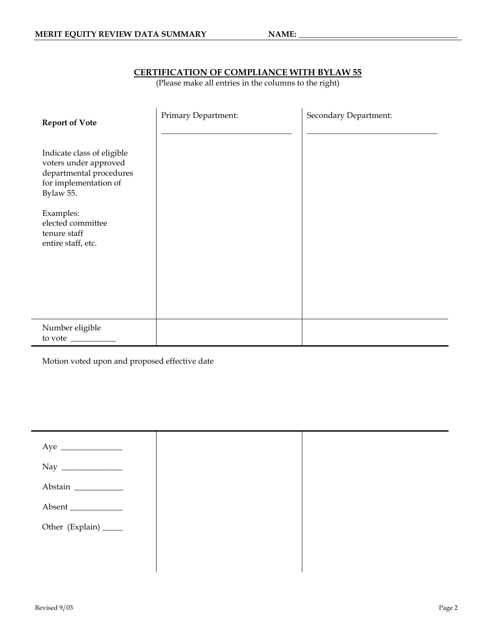# **CERTIFICATION OF COMPLIANCE WITH BYLAW 55**

(Please make all entries in the columns to the right)

| <b>Report of Vote</b>                                                                                                | Primary Department: | Secondary Department: |
|----------------------------------------------------------------------------------------------------------------------|---------------------|-----------------------|
| Indicate class of eligible<br>voters under approved<br>departmental procedures<br>for implementation of<br>Bylaw 55. |                     |                       |
| Examples:<br>elected committee<br>tenure staff<br>entire staff, etc.                                                 |                     |                       |
| Number eligible<br>to vote                                                                                           |                     |                       |

Motion voted upon and proposed effective date

| $\begin{tabular}{c} Aye \end{tabular}$ |  |
|----------------------------------------|--|
|                                        |  |
| Abstain                                |  |
| Absent                                 |  |
| Other (Explain) _____                  |  |
|                                        |  |
|                                        |  |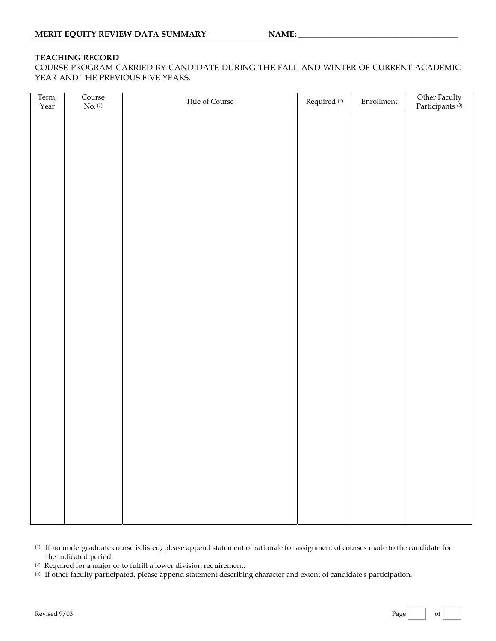#### **TEACHING RECORD**

COURSE PROGRAM CARRIED BY CANDIDATE DURING THE FALL AND WINTER OF CURRENT ACADEMIC YEAR AND THE PREVIOUS FIVE YEARS.

| Other Faculty<br>Participants <sup>(3)</sup> |
|----------------------------------------------|
|                                              |
|                                              |
|                                              |
|                                              |
|                                              |
|                                              |
|                                              |
|                                              |
|                                              |
|                                              |
|                                              |
|                                              |
|                                              |
|                                              |
|                                              |
|                                              |
|                                              |
|                                              |
|                                              |
|                                              |
|                                              |
|                                              |
|                                              |

- (1) If no undergraduate course is listed, please append statement of rationale for assignment of courses made to the candidate for the indicated period.
- (2) Required for a major or to fulfill a lower division requirement.
- (3) If other faculty participated, please append statement describing character and extent of candidate's participation.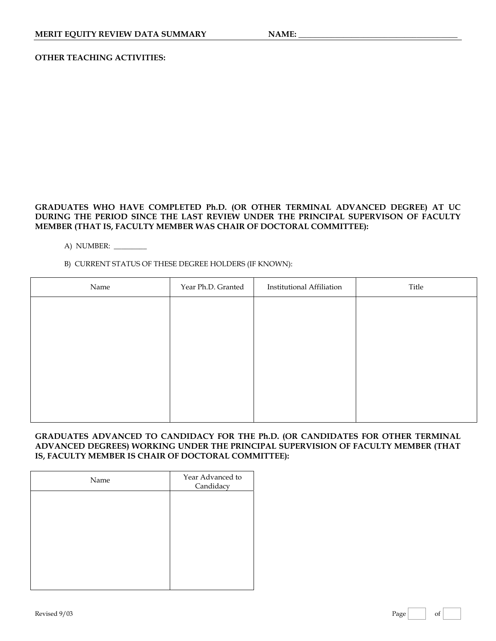# **OTHER TEACHING ACTIVITIES:**

# **GRADUATES WHO HAVE COMPLETED Ph.D. (OR OTHER TERMINAL ADVANCED DEGREE) AT UC DURING THE PERIOD SINCE THE LAST REVIEW UNDER THE PRINCIPAL SUPERVISON OF FACULTY MEMBER (THAT IS, FACULTY MEMBER WAS CHAIR OF DOCTORAL COMMITTEE):**

A) NUMBER: \_\_\_\_\_\_\_\_\_

# B) CURRENT STATUS OF THESE DEGREE HOLDERS (IF KNOWN):

| Name | Year Ph.D. Granted | <b>Institutional Affiliation</b> | Title |
|------|--------------------|----------------------------------|-------|
|      |                    |                                  |       |
|      |                    |                                  |       |
|      |                    |                                  |       |
|      |                    |                                  |       |
|      |                    |                                  |       |
|      |                    |                                  |       |
|      |                    |                                  |       |

#### **GRADUATES ADVANCED TO CANDIDACY FOR THE Ph.D. (OR CANDIDATES FOR OTHER TERMINAL ADVANCED DEGREES) WORKING UNDER THE PRINCIPAL SUPERVISION OF FACULTY MEMBER (THAT IS, FACULTY MEMBER IS CHAIR OF DOCTORAL COMMITTEE):**

| Name | Year Advanced to<br>Candidacy |
|------|-------------------------------|
|      |                               |
|      |                               |
|      |                               |
|      |                               |
|      |                               |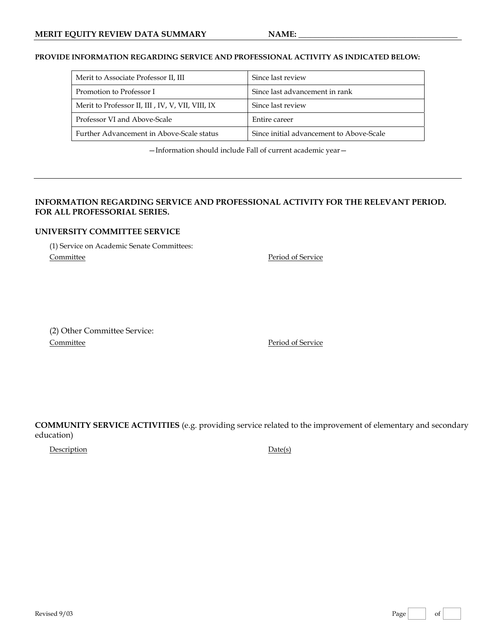#### **PROVIDE INFORMATION REGARDING SERVICE AND PROFESSIONAL ACTIVITY AS INDICATED BELOW:**

| Merit to Associate Professor II, III             | Since last review                        |
|--------------------------------------------------|------------------------------------------|
| Promotion to Professor I                         | Since last advancement in rank           |
| Merit to Professor II, III, IV, V, VII, VIII, IX | Since last review                        |
| Professor VI and Above-Scale                     | Entire career                            |
| Further Advancement in Above-Scale status        | Since initial advancement to Above-Scale |

—Information should include Fall of current academic year—

## **INFORMATION REGARDING SERVICE AND PROFESSIONAL ACTIVITY FOR THE RELEVANT PERIOD. FOR ALL PROFESSORIAL SERIES.**

#### **UNIVERSITY COMMITTEE SERVICE**

(1) Service on Academic Senate Committees: Committee Period of Service

(2) Other Committee Service: Committee **Period** of Service

**COMMUNITY SERVICE ACTIVITIES** (e.g. providing service related to the improvement of elementary and secondary education)

DescriptionDate(s)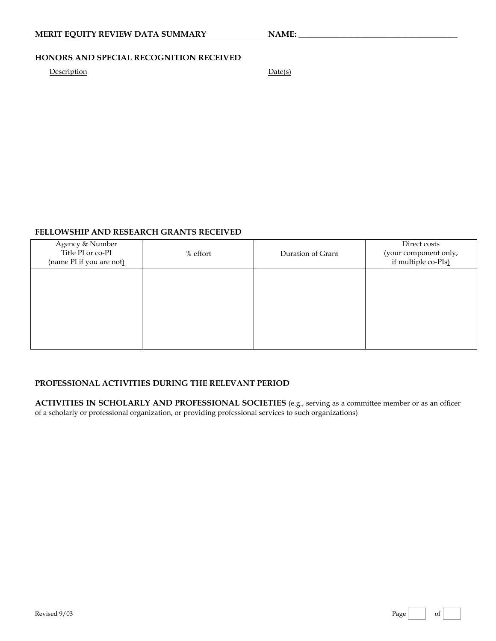# **MERIT EQUITY REVIEW DATA SUMMARY NAME:**

# **HONORS AND SPECIAL RECOGNITION RECEIVED**

# Description **Date(s)**

# **FELLOWSHIP AND RESEARCH GRANTS RECEIVED**

| Agency & Number<br>Title PI or co-PI<br>(name PI if you are not) | % effort | Duration of Grant | Direct costs<br>(your component only,<br>if multiple co-PIs) |
|------------------------------------------------------------------|----------|-------------------|--------------------------------------------------------------|
|                                                                  |          |                   |                                                              |
|                                                                  |          |                   |                                                              |

## **PROFESSIONAL ACTIVITIES DURING THE RELEVANT PERIOD**

**ACTIVITIES IN SCHOLARLY AND PROFESSIONAL SOCIETIES** (e.g., serving as a committee member or as an officer of a scholarly or professional organization, or providing professional services to such organizations)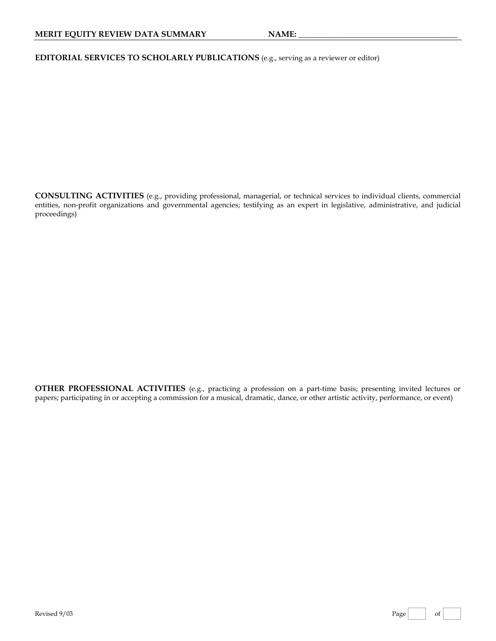**EDITORIAL SERVICES TO SCHOLARLY PUBLICATIONS** (e.g., serving as a reviewer or editor)

**CONSULTING ACTIVITIES** (e.g., providing professional, managerial, or technical services to individual clients, commercial entities, non-profit organizations and governmental agencies; testifying as an expert in legislative, administrative, and judicial proceedings)

**OTHER PROFESSIONAL ACTIVITIES** (e.g., practicing a profession on a part-time basis; presenting invited lectures or papers; participating in or accepting a commission for a musical, dramatic, dance, or other artistic activity, performance, or event)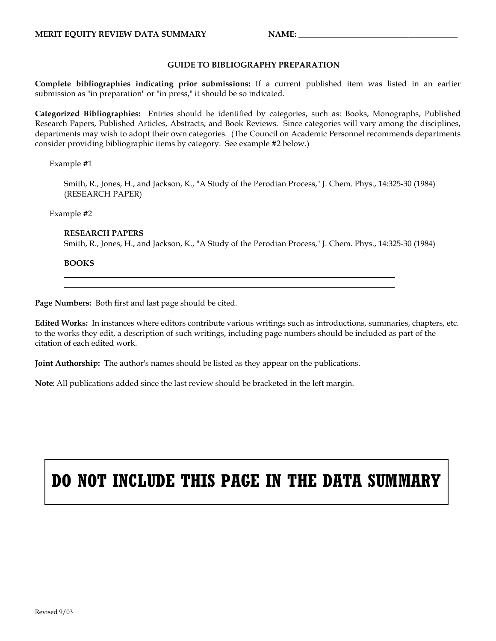#### **GUIDE TO BIBLIOGRAPHY PREPARATION**

**Complete bibliographies indicating prior submissions:** If a current published item was listed in an earlier submission as "in preparation" or "in press," it should be so indicated.

**Categorized Bibliographies:** Entries should be identified by categories, such as: Books, Monographs, Published Research Papers, Published Articles, Abstracts, and Book Reviews. Since categories will vary among the disciplines, departments may wish to adopt their own categories. (The Council on Academic Personnel recommends departments consider providing bibliographic items by category. See example #2 below.)

#### Example #1

Smith, R., Jones, H., and Jackson, K., "A Study of the Perodian Process," J. Chem. Phys., 14:325-30 (1984) (RESEARCH PAPER)

Example #2

#### **RESEARCH PAPERS**

Smith, R., Jones, H., and Jackson, K., "A Study of the Perodian Process," J. Chem. Phys., 14:325-30 (1984)

**BOOKS** 

l l

**Page Numbers:** Both first and last page should be cited.

**Edited Works:** In instances where editors contribute various writings such as introductions, summaries, chapters, etc. to the works they edit, a description of such writings, including page numbers should be included as part of the citation of each edited work.

**Joint Authorship:** The author's names should be listed as they appear on the publications.

**Note**: All publications added since the last review should be bracketed in the left margin.

# **DO NOT INCLUDE THIS PAGE IN THE DATA SUMMARY**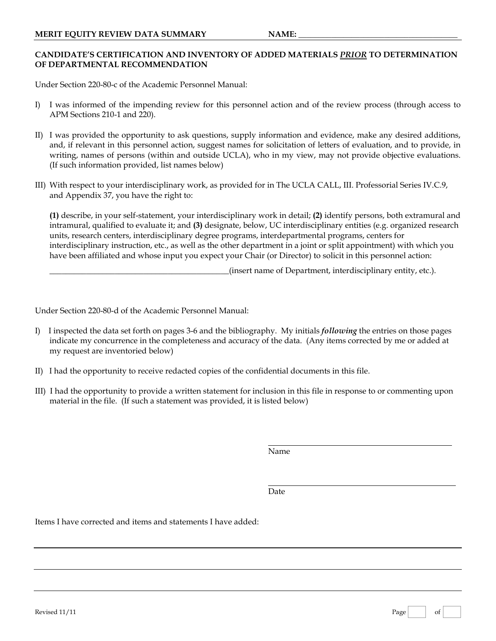# **CANDIDATE'S CERTIFICATION AND INVENTORY OF ADDED MATERIALS** *PRIOR* **TO DETERMINATION OF DEPARTMENTAL RECOMMENDATION**

Under Section 220-80-c of the Academic Personnel Manual:

- I) I was informed of the impending review for this personnel action and of the review process (through access to APM Sections 210-1 and 220).
- II) I was provided the opportunity to ask questions, supply information and evidence, make any desired additions, and, if relevant in this personnel action, suggest names for solicitation of letters of evaluation, and to provide, in writing, names of persons (within and outside UCLA), who in my view, may not provide objective evaluations. (If such information provided, list names below)
- III) With respect to your interdisciplinary work, as provided for in The UCLA CALL, III. Professorial Series IV.C.9, and Appendix 37, you have the right to:

**(1)** describe, in your self-statement, your interdisciplinary work in detail; **(2)** identify persons, both extramural and intramural, qualified to evaluate it; and **(3)** designate, below, UC interdisciplinary entities (e.g. organized research units, research centers, interdisciplinary degree programs, interdepartmental programs, centers for interdisciplinary instruction, etc., as well as the other department in a joint or split appointment) with which you have been affiliated and whose input you expect your Chair (or Director) to solicit in this personnel action:

\_\_\_\_\_\_\_\_\_\_\_\_\_\_\_\_\_\_\_\_\_\_\_\_\_\_\_\_\_\_\_\_\_\_\_\_\_\_\_\_\_\_\_\_(insert name of Department, interdisciplinary entity, etc.).

Under Section 220-80-d of the Academic Personnel Manual:

- I) I inspected the data set forth on pages 3-6 and the bibliography. My initials *following* the entries on those pages indicate my concurrence in the completeness and accuracy of the data. (Any items corrected by me or added at my request are inventoried below)
- II) I had the opportunity to receive redacted copies of the confidential documents in this file.
- III) I had the opportunity to provide a written statement for inclusion in this file in response to or commenting upon material in the file. (If such a statement was provided, it is listed below)

Name

**Date Date** 

Items I have corrected and items and statements I have added: